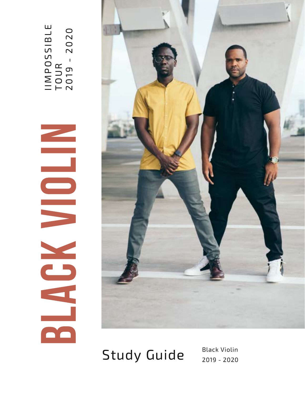



Study Guide Black Violin

2019 - 2020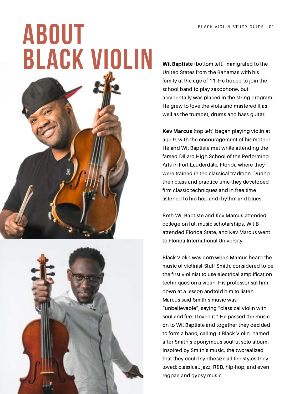

Wil Baptiste (bottom left) immigrated to the United States from the Bahamas with his family at the age of 11. He hoped to join the school band to play saxophone, but accidentally was placed in the string program. He grew to love the viola and mastered it as well as the trumpet, drums and bass guitar.

Kev Marcus (top left) began playing violin at age 9, with the encouragement of his mother. He and Wil Baptiste met while attending the famed Dillard High School of the Performing Arts in Fort Lauderdale, Florida where they were trained in the classical tradition. During their class and practice time they developed firm classic techniques and in free time listened to hip hop and rhythm and blues.

Both Wil Baptiste and Kev Marcus attended college on full music scholarships. Wil-B attended Florida State, and Kev Marcus went to Florida International University.

Black Violin was born when Marcus heard the music of violinist Stuff Smith, considered to be the first violinist to use electrical amplification techniques on a violin. His professor sat him down at a lesson andtold him to listen. Marcus said Smith's music was "unbelievable", saying "classical violin with soul and fire. I loved it." He passed the music on to Wil Baptiste and together they decided to form a band, calling it Black Violin, named after Smith's eponymous soulful solo album. Inspired by Smith's music, the tworealized that they could synthesize all the styles they loved: classical, jazz, R&B, hip-hop, and even reggae and gypsy music.

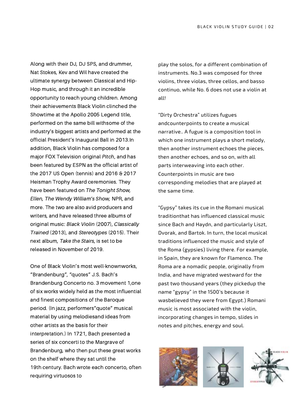Along with their DJ, DJ SPS, and drummer, Nat Stokes, Kev and Wil have created the ultimate synergy between Classical and Hip-Hop music, and through it an incredible opportunity to reach young children. Among their achievements Black Violin clinched the Showtime at the Apollo 2005 Legend title, performed on the same bill withsome of the industry's biggest artists and performed at the official President's Inaugural Ball in 2013.In addition, Black Violin has composed for a major FOX Television original Pitch, and has been featured by ESPN as the official artist of the 2017 US Open (tennis) and 2016 & 2017 Heisman Trophy Award ceremonies. They have been featured on The Tonight Show, Ellen, The Wendy William's Show, NPR, and more. The two are also avid producers and writers, and have released three albums of original music: Black Violin (2007), Classically Trained (2013), and Stereotypes (2015). Their next album, Take the Stairs, is set to be released in November of 2019.

One of Black Violin's most well-knownworks, "Brandenburg", "quotes" J.S. Bach's Brandenburg Concerto no. 3 movement 1,one of six works widely held as the most influential and finest compositions of the Baroque period. (In jazz, performers"quote" musical material by using melodiesand ideas from other artists as the basis for their interpretation.) In 1721, Bach presented a series of six concerti to the Margrave of Brandenburg, who then put these great works on the shelf where they sat until the 19th century. Bach wrote each concerto, often requiring virtuosos to

play the solos, for a different combination of instruments. No.3 was composed for three violins, three violas, three cellos, and basso continuo, while No. 6 does not use a violin at all!

"Dirty Orchestra" utilizes fugues andcounterpoints to create a musical narrative.. A fugue is a composition tool in which one instrument plays a short melody, then another instrument echoes the pieces, then another echoes, and so on, with all parts interweaving into each other. Counterpoints in music are two corresponding melodies that are played at the same time.

"Gypsy" takes its cue in the Romani musical traditionthat has influenced classical music since Bach and Haydn, and particularly Liszt, Dvorak, and Bartok. In turn, the local musical traditions influenced the music and style of the Roma (gypsies) living there. For example, in Spain, they are known for Flamenco. The Roma are a nomadic people, originally from India, and have migrated westward for the past two thousand years (they pickedup the name "gypsy" in the 1500's because it wasbelieved they were from Egypt.) Romani music is most associated with the violin, incorporating changes in tempo, slides in notes and pitches, energy and soul.





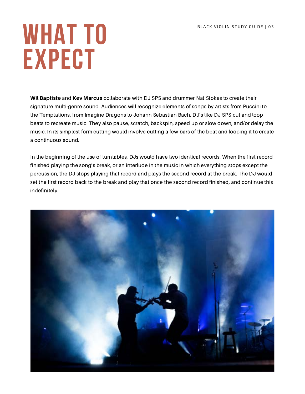### WHAT TO EXPECT

Wil Baptiste and Kev Marcus collaborate with DJ SPS and drummer Nat Stokes to create their signature multi-genre sound. Audiences will recognize elements of songs by artists from Puccini to the Temptations, from Imagine Dragons to Johann Sebastian Bach. DJ's like DJ SPS cut and loop beats to recreate music. They also pause, scratch, backspin, speed up or slow down, and/or delay the music. In its simplest form cutting would involve cutting a few bars of the beat and looping it to create a continuous sound.

In the beginning of the use of turntables, DJs would have two identical records. When the first record finished playing the song's break, or an interlude in the music in which everything stops except the percussion, the DJ stops playing that record and plays the second record at the break. The DJ would set the first record back to the break and play that once the second record finished, and continue this indefinitely.

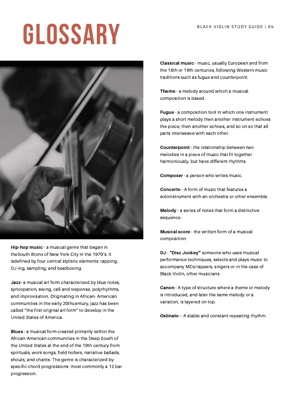# GLOSSARY BLACK VIOLIN STUDY GUIDE | 04



Hip-hop music - a musical genre that began in theSouth Bronx of New York City in the 1970's. It isdefined by four central stylistic elements: rapping, DJ-ing, sampling, and beatboxing.

Jazz- a musical art form characterized by blue notes, syncopation, swing, call and response, polyrhythms, and improvisation. Originating in African- American communities in the early 20thcentury, jazz has been called "the first original art form" to develop in the United States of America.

Blues - a musical form created primarily within the African-American communities in the Deep South of the United States at the end of the 19th century from spirituals, work songs, field hollers, narrative ballads, shouts, and chants. The genre is characterized by specific chord progressions- most commonly a 12 bar progression.

Classical music - music, usually European and from the 18th or 19th centuries, following Western music traditions such as fugue and counterpoint.

Theme - a melody around which a musical composition is based.

Fugue - a composition tool in which one instrument plays a short melody then another instrument echoes the piece, then another echoes, and so on so that all parts interweave with each other.

Counterpoint - the relationship between two melodies in a piece of music that fit together harmoniously, but have different rhythms.

Composer - a person who writes music.

Concerto - A form of music that features a soloinstrument with an orchestra or other ensemble.

Melody - a series of notes that form a distinctive sequence.

Musical score - the written form of a musical composition.

DJ - "Disc Jockey" someone who uses musical performance techniques, selects and plays music to accompany MCs/rappers, singers or in the case of Black Violin, other musicians.

Canon - A type of structure where a theme or melody is introduced, and later the same melody or a variation, is layered on top.

Ostinato – A stable and constant repeating rhythm.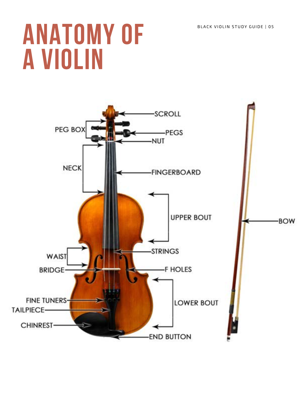### ANATOMY OF A VIOLIN